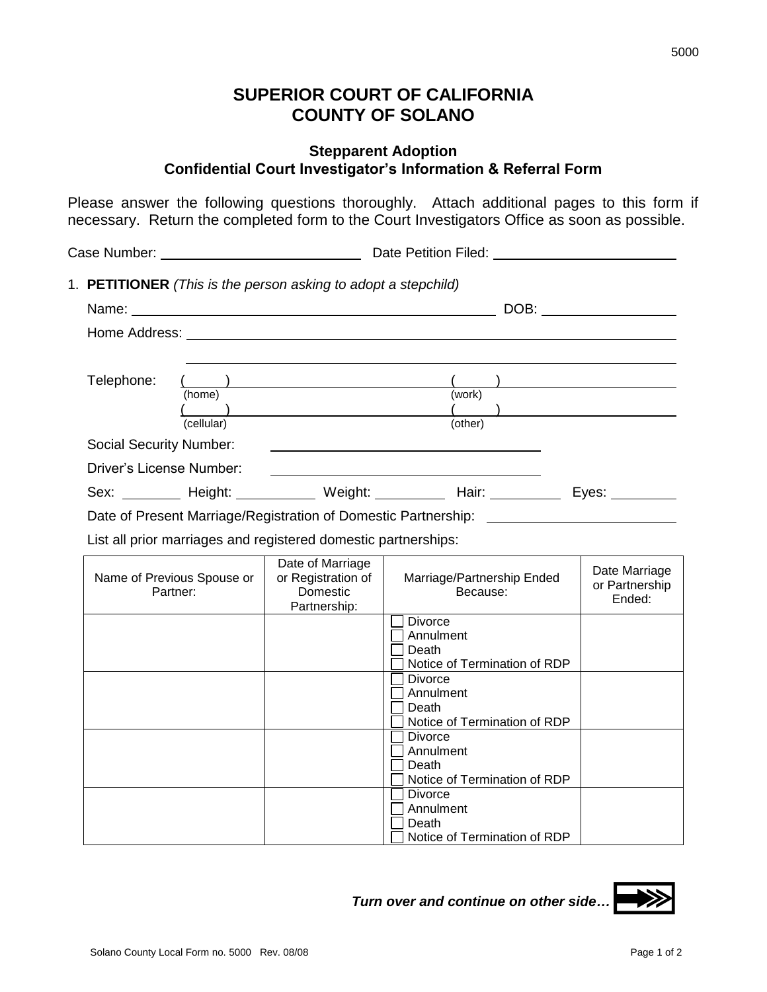## **SUPERIOR COURT OF CALIFORNIA COUNTY OF SOLANO**

## **Stepparent Adoption Confidential Court Investigator's Information & Referral Form**

Please answer the following questions thoroughly. Attach additional pages to this form if necessary. Return the completed form to the Court Investigators Office as soon as possible.

| Case Number: University of the Manuscript of the Manuscript of the Manuscript of the University of the University of the University of the University of the University of the University of the University of the University |                                                                                        |                                                                                   |                                        |                              |  |                                           |
|-------------------------------------------------------------------------------------------------------------------------------------------------------------------------------------------------------------------------------|----------------------------------------------------------------------------------------|-----------------------------------------------------------------------------------|----------------------------------------|------------------------------|--|-------------------------------------------|
| 1. PETITIONER (This is the person asking to adopt a stepchild)                                                                                                                                                                |                                                                                        |                                                                                   |                                        |                              |  |                                           |
|                                                                                                                                                                                                                               |                                                                                        |                                                                                   |                                        |                              |  |                                           |
|                                                                                                                                                                                                                               |                                                                                        |                                                                                   |                                        |                              |  |                                           |
|                                                                                                                                                                                                                               |                                                                                        |                                                                                   |                                        |                              |  |                                           |
| Telephone:                                                                                                                                                                                                                    | $\left($<br>$\left(\begin{array}{c} \begin{array}{c} \end{array}\\ \end{array}\right)$ |                                                                                   |                                        |                              |  |                                           |
|                                                                                                                                                                                                                               | (home)                                                                                 |                                                                                   |                                        | (work)<br>$\sqrt{2}$         |  |                                           |
|                                                                                                                                                                                                                               | (cellular)                                                                             |                                                                                   |                                        | (other)                      |  |                                           |
| <b>Social Security Number:</b>                                                                                                                                                                                                |                                                                                        |                                                                                   |                                        |                              |  |                                           |
| <b>Driver's License Number:</b>                                                                                                                                                                                               |                                                                                        |                                                                                   |                                        |                              |  |                                           |
|                                                                                                                                                                                                                               |                                                                                        | Sex: ________ Height: __________ Weight: _________ Hair: _________ Eyes: _______  |                                        |                              |  |                                           |
|                                                                                                                                                                                                                               |                                                                                        | Date of Present Marriage/Registration of Domestic Partnership: __________________ |                                        |                              |  |                                           |
|                                                                                                                                                                                                                               |                                                                                        | List all prior marriages and registered domestic partnerships:                    |                                        |                              |  |                                           |
| Name of Previous Spouse or<br>Partner:                                                                                                                                                                                        |                                                                                        | Date of Marriage<br>or Registration of<br>Domestic<br>Partnership:                | Marriage/Partnership Ended<br>Because: |                              |  | Date Marriage<br>or Partnership<br>Ended: |
|                                                                                                                                                                                                                               |                                                                                        |                                                                                   | <b>Divorce</b><br>Annulment<br>Death   | Notice of Termination of RDP |  |                                           |
|                                                                                                                                                                                                                               |                                                                                        |                                                                                   | <b>Divorce</b><br>Annulment<br>Death   | Notice of Termination of RDP |  |                                           |
|                                                                                                                                                                                                                               |                                                                                        |                                                                                   | <b>Divorce</b><br>Annulment<br>Death   | Notice of Termination of RDP |  |                                           |
|                                                                                                                                                                                                                               |                                                                                        |                                                                                   | <b>Divorce</b><br>Annulment<br>Death   | Notice of Termination of RDP |  |                                           |

 *Turn over and continue on other side…*